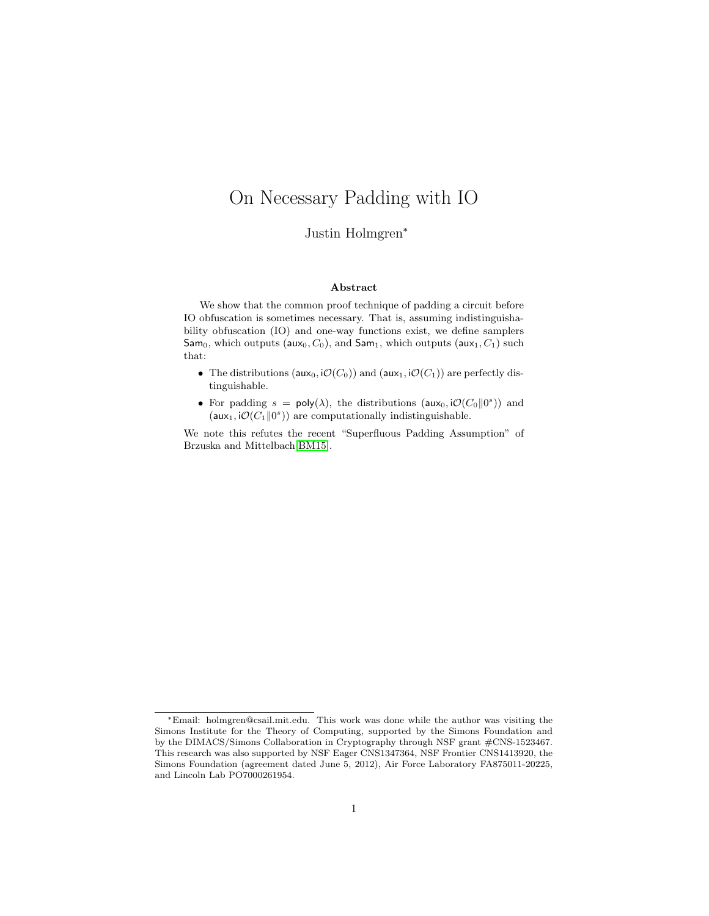# On Necessary Padding with IO

Justin Holmgren<sup>∗</sup>

#### Abstract

We show that the common proof technique of padding a circuit before IO obfuscation is sometimes necessary. That is, assuming indistinguishability obfuscation (IO) and one-way functions exist, we define samplers Sam<sub>0</sub>, which outputs (aux<sub>0</sub>,  $C_0$ ), and Sam<sub>1</sub>, which outputs (aux<sub>1</sub>,  $C_1$ ) such that:

- The distributions ( $\mathsf{aux}_0$ ,  $\mathcal{O}(C_0)$ ) and ( $\mathsf{aux}_1$ ,  $\mathcal{O}(C_1)$ ) are perfectly distinguishable.
- For padding  $s = \text{poly}(\lambda)$ , the distributions (aux<sub>0</sub>,  $\mathcal{O}(C_0||0^s)$ ) and  $(aux_1, i\mathcal{O}(C_1 \| 0^s))$  are computationally indistinguishable.

We note this refutes the recent "Superfluous Padding Assumption" of Brzuska and Mittelbach[\[BM15\]](#page-5-0).

<sup>∗</sup>Email: holmgren@csail.mit.edu. This work was done while the author was visiting the Simons Institute for the Theory of Computing, supported by the Simons Foundation and by the DIMACS/Simons Collaboration in Cryptography through NSF grant #CNS-1523467. This research was also supported by NSF Eager CNS1347364, NSF Frontier CNS1413920, the Simons Foundation (agreement dated June 5, 2012), Air Force Laboratory FA875011-20225, and Lincoln Lab PO7000261954.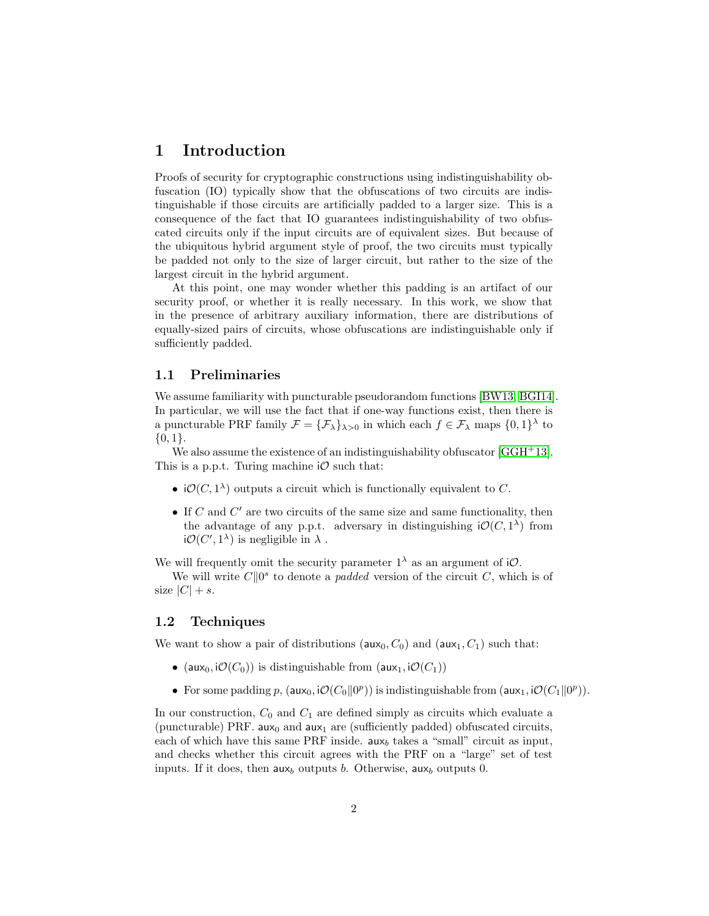# 1 Introduction

Proofs of security for cryptographic constructions using indistinguishability obfuscation (IO) typically show that the obfuscations of two circuits are indistinguishable if those circuits are artificially padded to a larger size. This is a consequence of the fact that IO guarantees indistinguishability of two obfuscated circuits only if the input circuits are of equivalent sizes. But because of the ubiquitous hybrid argument style of proof, the two circuits must typically be padded not only to the size of larger circuit, but rather to the size of the largest circuit in the hybrid argument.

At this point, one may wonder whether this padding is an artifact of our security proof, or whether it is really necessary. In this work, we show that in the presence of arbitrary auxiliary information, there are distributions of equally-sized pairs of circuits, whose obfuscations are indistinguishable only if sufficiently padded.

### 1.1 Preliminaries

We assume familiarity with puncturable pseudorandom functions [\[BW13,](#page-5-1) [BGI14\]](#page-5-2). In particular, we will use the fact that if one-way functions exist, then there is a puncturable PRF family  $\mathcal{F} = {\{\mathcal{F}_\lambda\}}_{\lambda>0}$  in which each  $f \in \mathcal{F}_\lambda$  maps  $\{0,1\}^\lambda$  to  $\{0,1\}.$ 

We also assume the existence of an indistinguishability obfuscator [\[GGH](#page-6-0)+13]. This is a p.p.t. Turing machine  $\mathcal O$  such that:

- $i\mathcal{O}(C, 1^{\lambda})$  outputs a circuit which is functionally equivalent to C.
- $\bullet$  If  $C$  and  $C'$  are two circuits of the same size and same functionality, then the advantage of any p.p.t. adversary in distinguishing  $\mathcal{O}(C, 1^{\lambda})$  from  $i\mathcal{O}(C', 1^{\lambda})$  is negligible in  $\lambda$ .

We will frequently omit the security parameter  $1^{\lambda}$  as an argument of iO.

We will write  $C||0^s$  to denote a *padded* version of the circuit C, which is of size  $|C| + s$ .

#### 1.2 Techniques

We want to show a pair of distributions ( $\mathsf{aux}_0, C_0$ ) and  $(\mathsf{aux}_1, C_1)$  such that:

- (aux<sub>0</sub>,  $\mathcal{O}(C_0)$ ) is distinguishable from (aux<sub>1</sub>,  $\mathcal{O}(C_1)$ )
- For some padding p,  $(aux_0, i\mathcal{O}(C_0||0^p))$  is indistinguishable from  $(aux_1, i\mathcal{O}(C_1||0^p))$ .

In our construction,  $C_0$  and  $C_1$  are defined simply as circuits which evaluate a (puncturable) PRF.  $aux_0$  and  $aux_1$  are (sufficiently padded) obfuscated circuits, each of which have this same PRF inside.  $a_{\mathbf{x}_b}$  takes a "small" circuit as input, and checks whether this circuit agrees with the PRF on a "large" set of test inputs. If it does, then  $aux_b$  outputs b. Otherwise,  $aux_b$  outputs 0.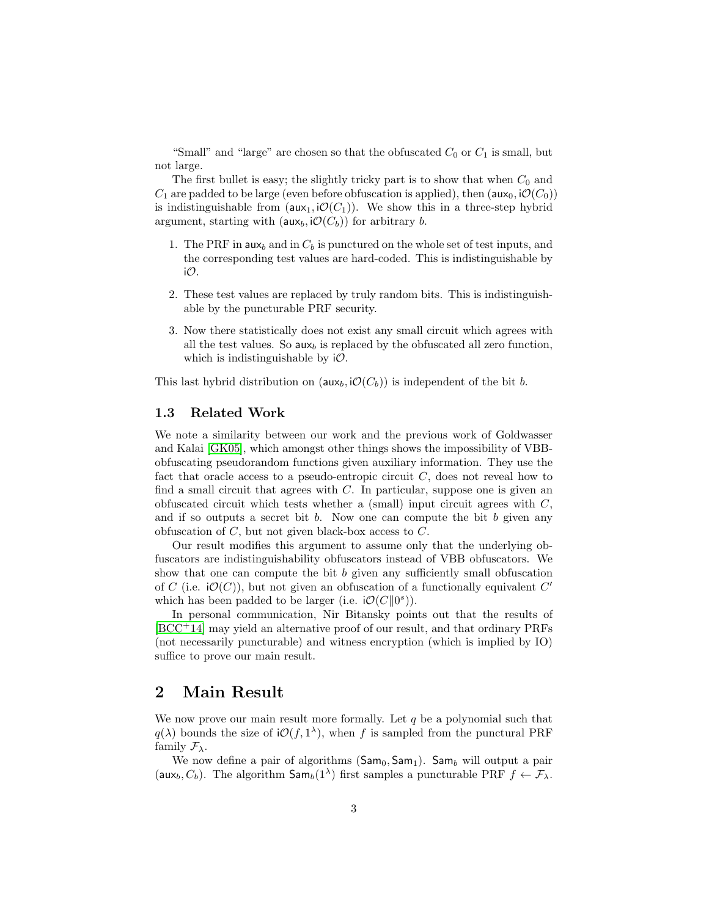"Small" and "large" are chosen so that the obfuscated  $C_0$  or  $C_1$  is small, but not large.

The first bullet is easy; the slightly tricky part is to show that when  $C_0$  and  $C_1$  are padded to be large (even before obfuscation is applied), then (aux<sub>0</sub>, i $\mathcal{O}(C_0)$ ) is indistinguishable from  $(aux_1, i\mathcal{O}(C_1))$ . We show this in a three-step hybrid argument, starting with  $(\mathsf{aux}_b, \mathsf{i}\mathcal{O}(C_b))$  for arbitrary b.

- 1. The PRF in  $\mathsf{aux}_b$  and in  $C_b$  is punctured on the whole set of test inputs, and the corresponding test values are hard-coded. This is indistinguishable by iO.
- 2. These test values are replaced by truly random bits. This is indistinguishable by the puncturable PRF security.
- 3. Now there statistically does not exist any small circuit which agrees with all the test values. So  $\mathsf{aux}_b$  is replaced by the obfuscated all zero function, which is indistinguishable by  $i\mathcal{O}$ .

This last hybrid distribution on  $(aux_b, i\mathcal{O}(C_b))$  is independent of the bit b.

### 1.3 Related Work

We note a similarity between our work and the previous work of Goldwasser and Kalai [\[GK05\]](#page-6-1), which amongst other things shows the impossibility of VBBobfuscating pseudorandom functions given auxiliary information. They use the fact that oracle access to a pseudo-entropic circuit  $C$ , does not reveal how to find a small circuit that agrees with  $C$ . In particular, suppose one is given an obfuscated circuit which tests whether a (small) input circuit agrees with  $C$ , and if so outputs a secret bit b. Now one can compute the bit b given any obfuscation of  $C$ , but not given black-box access to  $C$ .

Our result modifies this argument to assume only that the underlying obfuscators are indistinguishability obfuscators instead of VBB obfuscators. We show that one can compute the bit  $b$  given any sufficiently small obfuscation of C (i.e.  $\mathcal{O}(C)$ ), but not given an obfuscation of a functionally equivalent C' which has been padded to be larger (i.e.  $\mathcal{O}(C||0^s)$ ).

In personal communication, Nir Bitansky points out that the results of [\[BCC](#page-5-3)<sup>+</sup>14] may yield an alternative proof of our result, and that ordinary PRFs (not necessarily puncturable) and witness encryption (which is implied by IO) suffice to prove our main result.

# 2 Main Result

We now prove our main result more formally. Let  $q$  be a polynomial such that  $q(\lambda)$  bounds the size of  $\mathcal{O}(f, 1^{\lambda})$ , when f is sampled from the punctural PRF family  $\mathcal{F}_{\lambda}$ .

We now define a pair of algorithms  $(Sam_0, Sam_1)$ . Sam<sub>b</sub> will output a pair (aux<sub>b</sub>,  $C_b$ ). The algorithm  $\textsf{Sam}_b(1^{\lambda})$  first samples a puncturable PRF  $f \leftarrow \mathcal{F}_{\lambda}$ .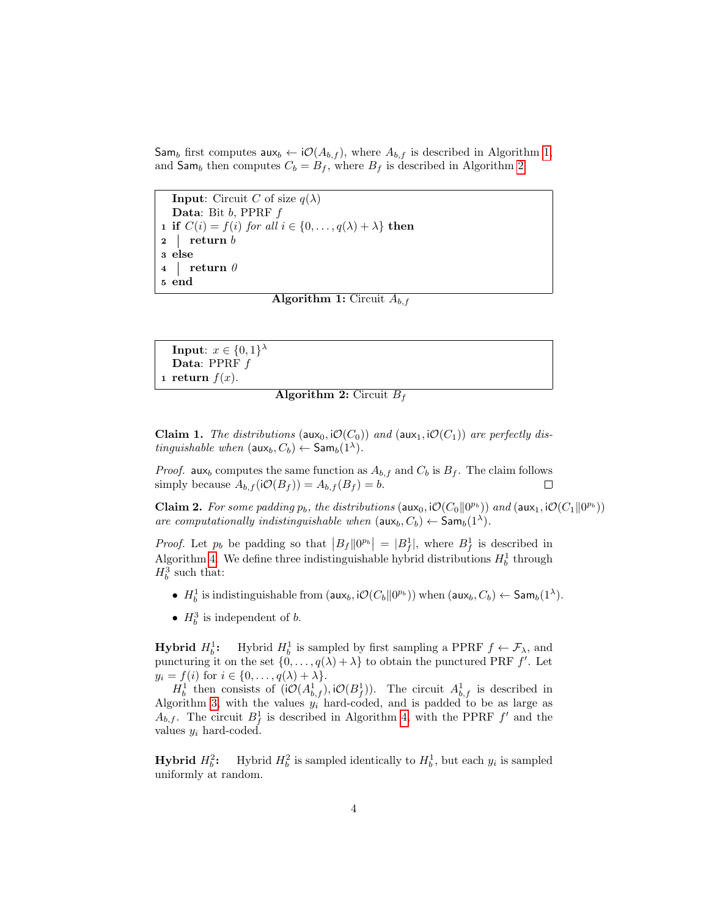Sam<sub>b</sub> first computes aux<sub>b</sub> ← i $\mathcal{O}(A_{b,f})$ , where  $A_{b,f}$  is described in Algorithm [1,](#page-3-0) and  $\mathsf{Sam}_b$  then computes  $C_b = B_f$ , where  $B_f$  is described in Algorithm [2.](#page-3-1)

**Input:** Circuit C of size  $q(\lambda)$ Data: Bit  $b$ , PPRF  $f$ 1 if  $C(i) = f(i)$  for all  $i \in \{0, ..., q(\lambda) + \lambda\}$  then  $2$  return b 3 else 4 return  $\theta$ 5 end

<span id="page-3-0"></span>**Algorithm 1:** Circuit  $A_{b,f}$ 

<span id="page-3-1"></span>**Input**:  $x \in \{0,1\}^{\lambda}$ Data: PPRF  $f$ 1 return  $f(x)$ .

### **Algorithm 2:** Circuit  $B_f$

**Claim 1.** The distributions ( $\text{aux}_0$ ,  $\text{iO}(C_0)$ ) and ( $\text{aux}_1$ ,  $\text{iO}(C_1)$ ) are perfectly distinguishable when  $(\text{aux}_b, C_b) \leftarrow \text{Sam}_b(1^{\lambda}).$ 

*Proof.* aux<sub>b</sub> computes the same function as  $A_{b,f}$  and  $C_b$  is  $B_f$ . The claim follows simply because  $A_{b,f}(\mathsf{i}\mathcal{O}(B_f)) = A_{b,f}(B_f) = b.$  $\Box$ 

<span id="page-3-3"></span>**Claim 2.** For some padding  $p_b$ , the distributions (aux<sub>0</sub>, i $\mathcal{O}(C_0||0^{p_b})$ ) and (aux<sub>1</sub>, i $\mathcal{O}(C_1||0^{p_b})$ ) are computationally indistinguishable when  $(\text{aux}_b, C_b) \leftarrow \text{Sam}_b(1^{\lambda})$ .

*Proof.* Let  $p_b$  be padding so that  $|B_f||0^{p_b}| = |B_f^1|$ , where  $B_f^1$  is described in Algorithm [4.](#page-3-2) We define three indistinguishable hybrid distributions  $H_b^1$  through  $H_b^3$  such that:

- $H_b^1$  is indistinguishable from  $(\textsf{aux}_b, \textsf{i}\mathcal{O}(C_b\| 0^{p_b}))$  when  $(\textsf{aux}_b, C_b) \leftarrow \textsf{Sam}_b(1^{\lambda})$ .
- $H_b^3$  is independent of b.

**Hybrid**  $H_b^1$ : Hybrid  $H_b^1$  is sampled by first sampling a PPRF  $f \leftarrow \mathcal{F}_{\lambda}$ , and puncturing it on the set  $\{0, \ldots, q(\lambda) + \lambda\}$  to obtain the punctured PRF f'. Let  $y_i = f(i)$  for  $i \in \{0, \ldots, q(\lambda) + \lambda\}.$ 

 $H_b^1$  then consists of  $(i\mathcal{O}(A_{b,f}^1), i\mathcal{O}(B_f^1))$ . The circuit  $A_{b,f}^1$  is described in Algorithm [3,](#page-3-2) with the values  $y_i$  hard-coded, and is padded to be as large as  $A_{b,f}$ . The circuit  $B_f^1$  is described in Algorithm [4,](#page-3-2) with the PPRF  $f'$  and the values  $y_i$  hard-coded.

<span id="page-3-2"></span>Hybrid  $H_b^2$ **:** Hybrid  $H_b^2$  is sampled identically to  $H_b^1$ , but each  $y_i$  is sampled uniformly at random.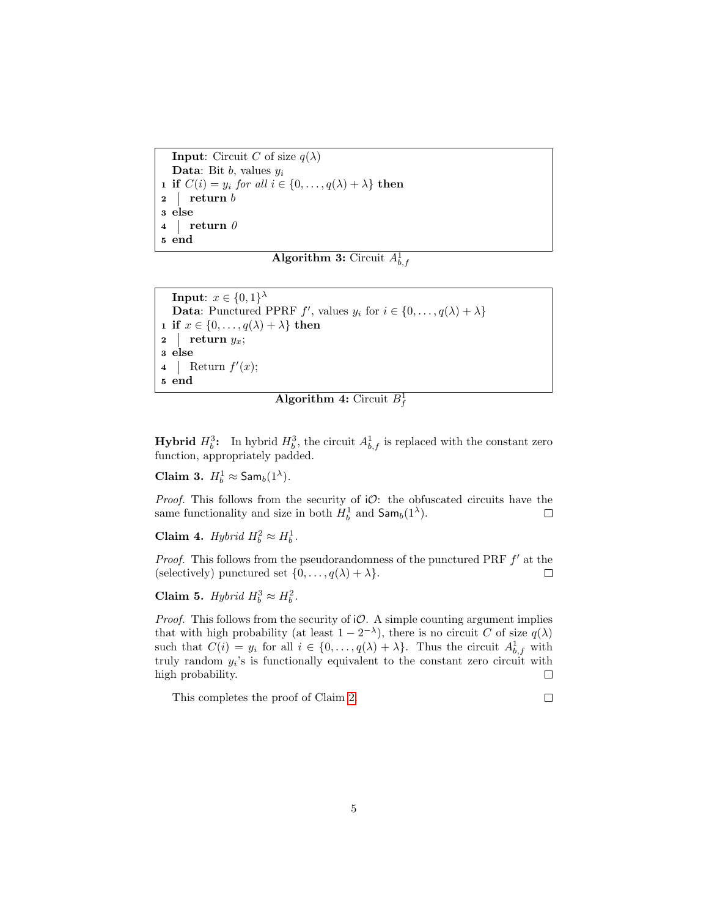**Input:** Circuit C of size  $q(\lambda)$ **Data:** Bit  $b$ , values  $y_i$ **1** if  $C(i) = y_i$  for all  $i \in \{0, ..., q(\lambda) + \lambda\}$  then 2 return b 3 else 4 return  $\theta$ 5 end

Algorithm 3: Circuit  $A^1_{b,f}$ 

**Input**:  $x \in \{0,1\}^{\lambda}$ **Data:** Punctured PPRF  $f'$ , values  $y_i$  for  $i \in \{0, ..., q(\lambda) + \lambda\}$ 1 if  $x \in \{0, \ldots, q(\lambda) + \lambda\}$  then 2 return  $y_x$ ; 3 else 4 Return  $f'(x)$ ; 5 end

**Algorithm 4:** Circuit  $B_f^1$ 

**Hybrid**  $H_b^3$ : In hybrid  $H_b^3$ , the circuit  $A_{b,f}^1$  is replaced with the constant zero function, appropriately padded.

Claim 3.  $H_b^1 \approx$  Sam<sub>b</sub> $(1^{\lambda})$ .

*Proof.* This follows from the security of  $\mathcal{O}$ : the obfuscated circuits have the same functionality and size in both  $H_b^1$  and  $\mathsf{Sam}_b(1^{\lambda})$ .  $\Box$ 

Claim 4. Hybrid  $H_b^2 \approx H_b^1$ .

*Proof.* This follows from the pseudorandomness of the punctured PRF  $f'$  at the (selectively) punctured set  $\{0, \ldots, q(\lambda) + \lambda\}.$  $\Box$ 

Claim 5. Hybrid  $H_b^3 \approx H_b^2$ .

*Proof.* This follows from the security of  $\mathcal{O}$ . A simple counting argument implies that with high probability (at least  $1 - 2^{-\lambda}$ ), there is no circuit C of size  $q(\lambda)$ such that  $C(i) = y_i$  for all  $i \in \{0, ..., q(\lambda) + \lambda\}$ . Thus the circuit  $A_{b,f}^1$  with truly random  $y_i$ 's is functionally equivalent to the constant zero circuit with high probability.  $\Box$ 

This completes the proof of Claim [2.](#page-3-3)

 $\Box$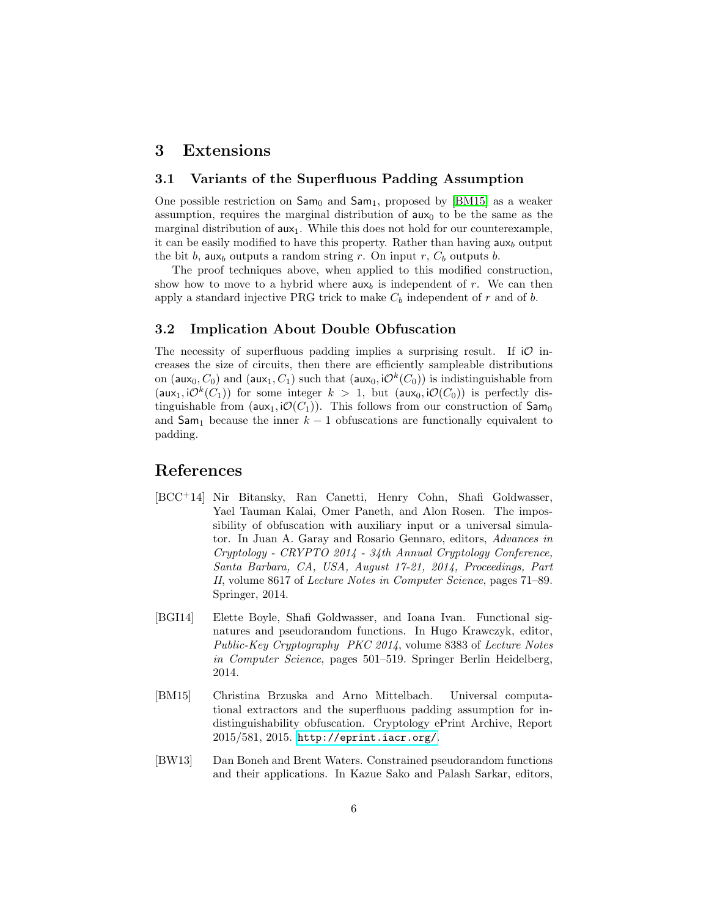### 3 Extensions

### 3.1 Variants of the Superfluous Padding Assumption

One possible restriction on  $\text{Sam}_0$  and  $\text{Sam}_1$ , proposed by [\[BM15\]](#page-5-0) as a weaker assumption, requires the marginal distribution of  $aux_0$  to be the same as the marginal distribution of  $aux_1$ . While this does not hold for our counterexample, it can be easily modified to have this property. Rather than having  $\mathsf{aux}_b$  output the bit b, aux<sub>b</sub> outputs a random string r. On input r,  $C_b$  outputs b.

The proof techniques above, when applied to this modified construction, show how to move to a hybrid where  $aux_b$  is independent of r. We can then apply a standard injective PRG trick to make  $C_b$  independent of r and of b.

#### 3.2 Implication About Double Obfuscation

The necessity of superfluous padding implies a surprising result. If  $\mathcal O$  increases the size of circuits, then there are efficiently sampleable distributions on (aux<sub>0</sub>,  $C_0$ ) and (aux<sub>1</sub>,  $C_1$ ) such that (aux<sub>0</sub>, i $\mathcal{O}^k(C_0)$ ) is indistinguishable from  $(\mathsf{aux}_1, \mathsf{i}\mathcal{O}^k(C_1))$  for some integer  $k > 1$ , but  $(\mathsf{aux}_0, \mathsf{i}\mathcal{O}(C_0))$  is perfectly distinguishable from  $(aux_1, i\mathcal{O}(C_1))$ . This follows from our construction of  $Sam_0$ and  $\textsf{Sam}_1$  because the inner  $k-1$  obfuscations are functionally equivalent to padding.

## References

- <span id="page-5-3"></span>[BCC+14] Nir Bitansky, Ran Canetti, Henry Cohn, Shafi Goldwasser, Yael Tauman Kalai, Omer Paneth, and Alon Rosen. The impossibility of obfuscation with auxiliary input or a universal simulator. In Juan A. Garay and Rosario Gennaro, editors, Advances in Cryptology - CRYPTO 2014 - 34th Annual Cryptology Conference, Santa Barbara, CA, USA, August 17-21, 2014, Proceedings, Part II, volume 8617 of Lecture Notes in Computer Science, pages 71–89. Springer, 2014.
- <span id="page-5-2"></span>[BGI14] Elette Boyle, Shafi Goldwasser, and Ioana Ivan. Functional signatures and pseudorandom functions. In Hugo Krawczyk, editor, Public-Key Cryptography PKC 2014, volume 8383 of Lecture Notes in Computer Science, pages 501–519. Springer Berlin Heidelberg, 2014.
- <span id="page-5-0"></span>[BM15] Christina Brzuska and Arno Mittelbach. Universal computational extractors and the superfluous padding assumption for indistinguishability obfuscation. Cryptology ePrint Archive, Report 2015/581, 2015. <http://eprint.iacr.org/>.
- <span id="page-5-1"></span>[BW13] Dan Boneh and Brent Waters. Constrained pseudorandom functions and their applications. In Kazue Sako and Palash Sarkar, editors,